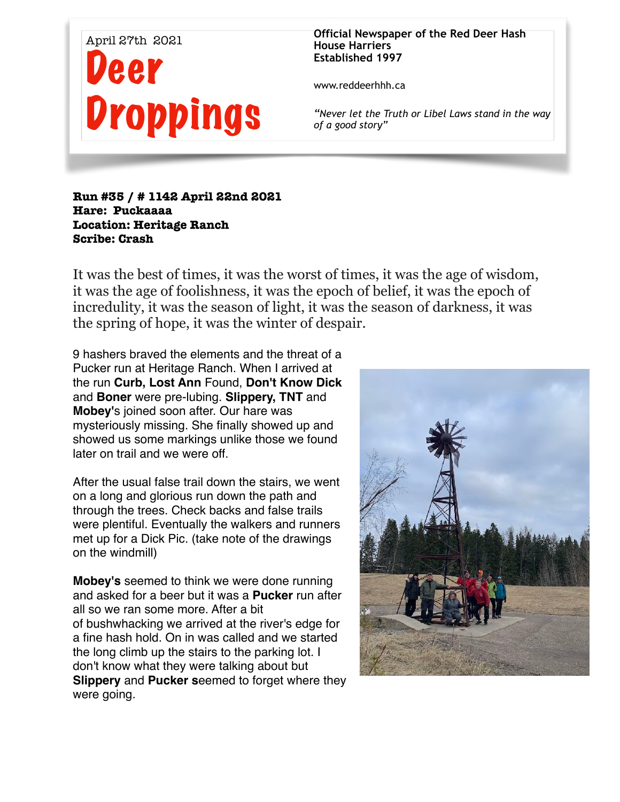

**Official Newspaper of the Red Deer Hash House Harriers Established 1997** 

www.reddeerhhh.ca

*"Never let the Truth or Libel Laws stand in the way of a good story"*

## **Run #35 / # 1142 April 22nd 2021 Hare: Puckaaaa Location: Heritage Ranch Scribe: Crash**

It was the best of times, it was the worst of times, it was the age of wisdom, it was the age of foolishness, it was the epoch of belief, it was the epoch of incredulity, it was the season of light, it was the season of darkness, it was the spring of hope, it was the winter of despair.

9 hashers braved the elements and the threat of a Pucker run at Heritage Ranch. When I arrived at the run **Curb, Lost Ann** Found, **Don't Know Dick**  and **Boner** were pre-lubing. **Slippery, TNT** and **Mobey'**s joined soon after. Our hare was mysteriously missing. She finally showed up and showed us some markings unlike those we found later on trail and we were off.

After the usual false trail down the stairs, we went on a long and glorious run down the path and through the trees. Check backs and false trails were plentiful. Eventually the walkers and runners met up for a Dick Pic. (take note of the drawings on the windmill)

**Mobey's** seemed to think we were done running and asked for a beer but it was a **Pucker** run after all so we ran some more. After a bit of bushwhacking we arrived at the river's edge for a fine hash hold. On in was called and we started the long climb up the stairs to the parking lot. I don't know what they were talking about but **Slippery** and **Pucker s**eemed to forget where they were going.